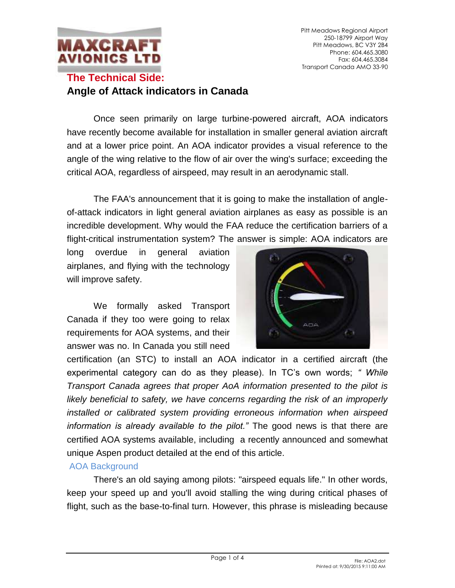

Pitt Meadows Regional Airport 250-18799 Airport Way Pitt Meadows, BC V3Y 2B4 Phone: 604.465.3080 Fax: 604.465.3084 Transport Canada AMO 33-90

### **The Technical Side: Angle of Attack indicators in Canada**

Once seen primarily on large turbine-powered aircraft, AOA indicators have recently become available for installation in smaller general aviation aircraft and at a lower price point. An AOA indicator provides a visual reference to the angle of the wing relative to the flow of air over the wing's surface; exceeding the critical AOA, regardless of airspeed, may result in an aerodynamic stall.

The FAA's announcement that it is going to make the installation of angleof-attack indicators in light general aviation airplanes as easy as possible is an incredible development. Why would the FAA reduce the certification barriers of a flight-critical instrumentation system? The answer is simple: AOA indicators are

long overdue in general aviation airplanes, and flying with the technology will improve safety.

We formally asked Transport Canada if they too were going to relax requirements for AOA systems, and their answer was no. In Canada you still need



certification (an STC) to install an AOA indicator in a certified aircraft (the experimental category can do as they please). In TC's own words; *" While Transport Canada agrees that proper AoA information presented to the pilot is likely beneficial to safety, we have concerns regarding the risk of an improperly installed or calibrated system providing erroneous information when airspeed information is already available to the pilot."* The good news is that there are certified AOA systems available, including a recently announced and somewhat unique Aspen product detailed at the end of this article.

### AOA Background

There's an old saying among pilots: "airspeed equals life." In other words, keep your speed up and you'll avoid stalling the wing during critical phases of flight, such as the base-to-final turn. However, this phrase is misleading because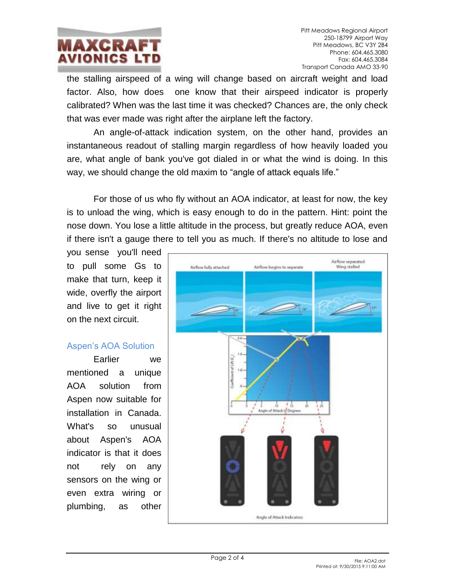# **MAXCRA** AVIONICS LT

the stalling airspeed of a wing will change based on aircraft weight and load factor. Also, how does one know that their airspeed indicator is properly calibrated? When was the last time it was checked? Chances are, the only check that was ever made was right after the airplane left the factory.

An angle-of-attack indication system, on the other hand, provides an instantaneous readout of stalling margin regardless of how heavily loaded you are, what angle of bank you've got dialed in or what the wind is doing. In this way, we should change the old maxim to "angle of attack equals life."

For those of us who fly without an AOA indicator, at least for now, the key is to unload the wing, which is easy enough to do in the pattern. Hint: point the nose down. You lose a little altitude in the process, but greatly reduce AOA, even if there isn't a gauge there to tell you as much. If there's no altitude to lose and

you sense you'll need to pull some Gs to make that turn, keep it wide, overfly the airport and live to get it right on the next circuit.

### Aspen's AOA Solution

Earlier we mentioned a unique AOA solution from Aspen now suitable for installation in Canada. What's so unusual about Aspen's AOA indicator is that it does not rely on any sensors on the wing or even extra wiring or plumbing, as other

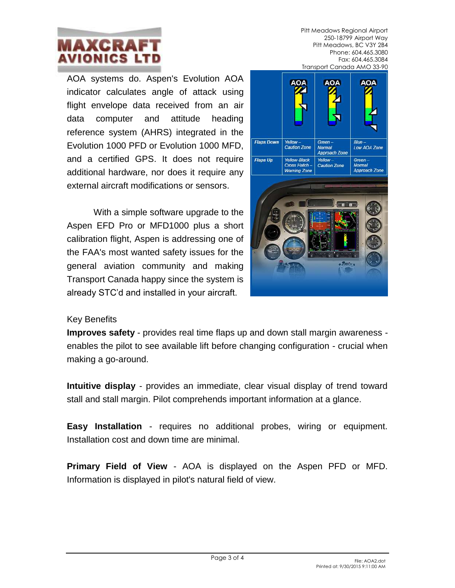## **MAXCRA** AVIONICS LT

AOA systems do. Aspen's Evolution AOA indicator calculates angle of attack using flight envelope data received from an air data computer and attitude heading reference system (AHRS) integrated in the Evolution 1000 PFD or Evolution 1000 MFD, and a certified GPS. It does not require additional hardware, nor does it require any external aircraft modifications or sensors.

With a simple software upgrade to the Aspen EFD Pro or MFD1000 plus a short calibration flight, Aspen is addressing one of the FAA's most wanted safety issues for the general aviation community and making Transport Canada happy since the system is already STC'd and installed in your aircraft.

#### Pitt Meadows Regional Airport 250-18799 Airport Way Pitt Meadows, BC V3Y 2B4 Phone: 604.465.3080 Fax: 604.465.3084 Transport Canada AMO 33-90



### Key Benefits

**Improves safety** - provides real time flaps up and down stall margin awareness enables the pilot to see available lift before changing configuration - crucial when making a go-around.

**Intuitive display** - provides an immediate, clear visual display of trend toward stall and stall margin. Pilot comprehends important information at a glance.

**Easy Installation** - requires no additional probes, wiring or equipment. Installation cost and down time are minimal.

**Primary Field of View** - AOA is displayed on the Aspen PFD or MFD. Information is displayed in pilot's natural field of view.